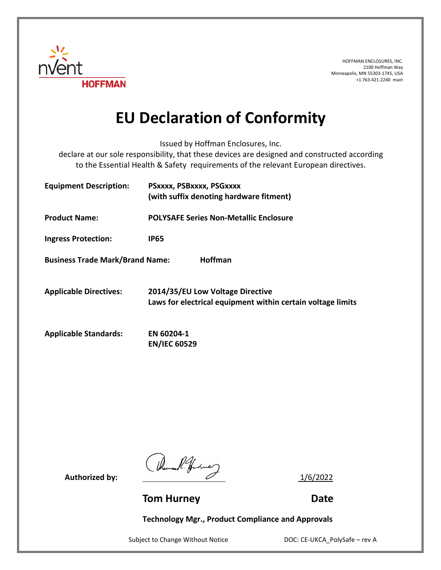

HOFFMAN ENCLOSURES, INC. 2100 Hoffman Way Minneapolis, MN 55303-1745, USA +1.763.421.2240 main

## **EU Declaration of Conformity**

Issued by Hoffman Enclosures, Inc.

declare at our sole responsibility, that these devices are designed and constructed according to the Essential Health & Safety requirements of the relevant European directives.

| <b>Equipment Description:</b>          | PSXXXX, PSBXXXX, PSGXXXX<br>(with suffix denoting hardware fitment)                             |
|----------------------------------------|-------------------------------------------------------------------------------------------------|
| <b>Product Name:</b>                   | <b>POLYSAFE Series Non-Metallic Enclosure</b>                                                   |
| <b>Ingress Protection:</b>             | IP65                                                                                            |
| <b>Business Trade Mark/Brand Name:</b> | <b>Hoffman</b>                                                                                  |
| <b>Applicable Directives:</b>          | 2014/35/EU Low Voltage Directive<br>Laws for electrical equipment within certain voltage limits |
| <b>Applicable Standards:</b>           | EN 60204-1<br><b>EN/IEC 60529</b>                                                               |

Authorized by:  $\frac{1}{6/2022}$ 

**Tom Hurney Communication Communication Communication Communication Communication Communication Communication Communication Communication Communication Communication Communication Communication Communication Communication** 

**Technology Mgr., Product Compliance and Approvals**

Subject to Change Without Notice DOC: CE-UKCA\_PolySafe – rev A